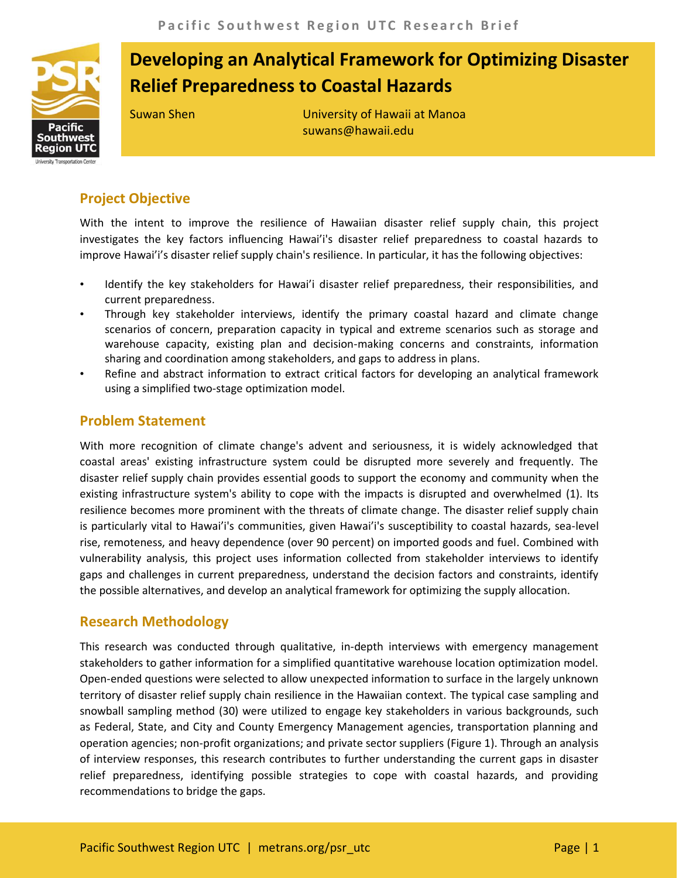

# **Developing an Analytical Framework for Optimizing Disaster Relief Preparedness to Coastal Hazards**

Suwan Shen University of Hawaii at Manoa suwans@hawaii.edu

## **Project Objective**

With the intent to improve the resilience of Hawaiian disaster relief supply chain, this project investigates the key factors influencing Hawai'i's disaster relief preparedness to coastal hazards to improve Hawai'i's disaster relief supply chain's resilience. In particular, it has the following objectives:

- Identify the key stakeholders for Hawai'i disaster relief preparedness, their responsibilities, and current preparedness.
- Through key stakeholder interviews, identify the primary coastal hazard and climate change scenarios of concern, preparation capacity in typical and extreme scenarios such as storage and warehouse capacity, existing plan and decision-making concerns and constraints, information sharing and coordination among stakeholders, and gaps to address in plans.
- Refine and abstract information to extract critical factors for developing an analytical framework using a simplified two-stage optimization model.

## **Problem Statement**

With more recognition of climate change's advent and seriousness, it is widely acknowledged that coastal areas' existing infrastructure system could be disrupted more severely and frequently. The disaster relief supply chain provides essential goods to support the economy and community when the existing infrastructure system's ability to cope with the impacts is disrupted and overwhelmed (1). Its resilience becomes more prominent with the threats of climate change. The disaster relief supply chain is particularly vital to Hawai'i's communities, given Hawai'i's susceptibility to coastal hazards, sea-level rise, remoteness, and heavy dependence (over 90 percent) on imported goods and fuel. Combined with vulnerability analysis, this project uses information collected from stakeholder interviews to identify gaps and challenges in current preparedness, understand the decision factors and constraints, identify the possible alternatives, and develop an analytical framework for optimizing the supply allocation.

## **Research Methodology**

This research was conducted through qualitative, in-depth interviews with emergency management stakeholders to gather information for a simplified quantitative warehouse location optimization model. Open-ended questions were selected to allow unexpected information to surface in the largely unknown territory of disaster relief supply chain resilience in the Hawaiian context. The typical case sampling and snowball sampling method (30) were utilized to engage key stakeholders in various backgrounds, such as Federal, State, and City and County Emergency Management agencies, transportation planning and operation agencies; non-profit organizations; and private sector suppliers (Figure 1). Through an analysis of interview responses, this research contributes to further understanding the current gaps in disaster relief preparedness, identifying possible strategies to cope with coastal hazards, and providing recommendations to bridge the gaps.